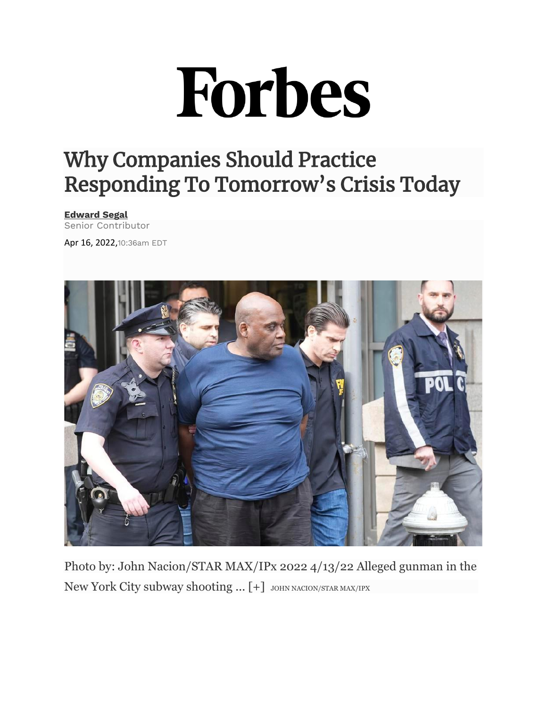# Forbes

## Why Companies Should Practice Responding To Tomorrow's Crisis Today

#### **[Edward Segal](https://www.forbes.com/sites/edwardsegal/)**

Senior Contributor

Apr 16, 2022,10:36am EDT



Photo by: John Nacion/STAR MAX/IPx 2022 4/13/22 Alleged gunman in the New York City subway shooting ... [+] JOHN NACION/STAR MAX/IPX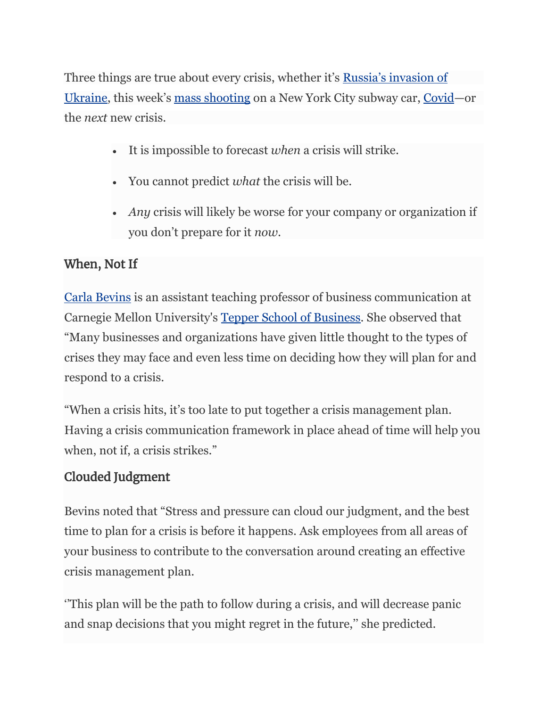Three things are true about every crisis, whether it's [Russia's invasion of](https://www.bbc.com/news/world-europe-56720589)  [Ukraine](https://www.bbc.com/news/world-europe-56720589), this week's [mass shooting](https://www.cbsnews.com/newyork/feature/brooklyn-subway-shooting/) on a New York City subway car, [Covid](https://www.npr.org/series/812054919/the-coronavirus-crisis)—or the *next* new crisis.

- It is impossible to forecast *when* a crisis will strike.
- You cannot predict *what* the crisis will be.
- *Any* crisis will likely be worse for your company or organization if you don't prepare for it *now.*

#### When, Not If

[Carla Bevins](https://www.linkedin.com/in/carla-bevins/) is an assistant teaching professor of business communication at Carnegie Mellon University's [Tepper School of Business.](https://www.cmu.edu/tepper/why-tepper/index.html) She observed that "Many businesses and organizations have given little thought to the types of crises they may face and even less time on deciding how they will plan for and respond to a crisis.

"When a crisis hits, it's too late to put together a crisis management plan. Having a crisis communication framework in place ahead of time will help you when, not if, a crisis strikes."

### Clouded Judgment

Bevins noted that "Stress and pressure can cloud our judgment, and the best time to plan for a crisis is before it happens. Ask employees from all areas of your business to contribute to the conversation around creating an effective crisis management plan.

''This plan will be the path to follow during a crisis, and will decrease panic and snap decisions that you might regret in the future,'' she predicted.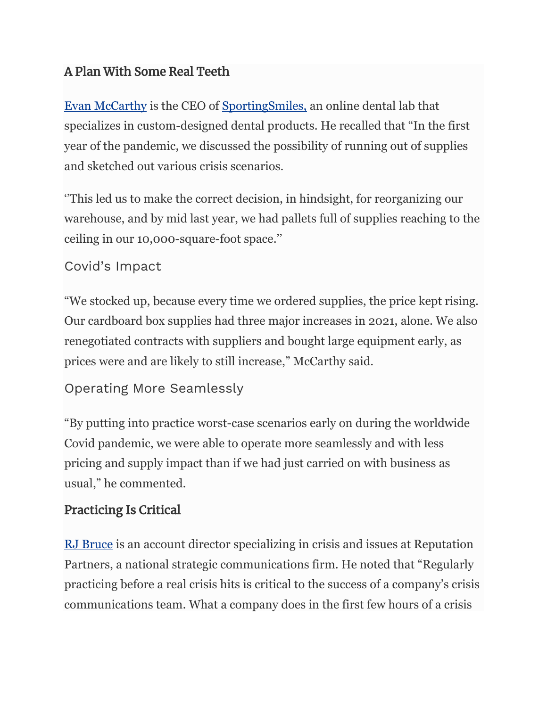#### A Plan With Some Real Teeth

[Evan McCarthy](https://www.linkedin.com/in/evan-mccarthy-5a24473b/) is the CEO of [SportingSmiles,](https://www.sportingsmiles.com/about-us) an online dental lab that specializes in custom-designed dental products. He recalled that "In the first year of the pandemic, we discussed the possibility of running out of supplies and sketched out various crisis scenarios.

''This led us to make the correct decision, in hindsight, for reorganizing our warehouse, and by mid last year, we had pallets full of supplies reaching to the ceiling in our 10,000-square-foot space.''

#### Covid's Impact

"We stocked up, because every time we ordered supplies, the price kept rising. Our cardboard box supplies had three major increases in 2021, alone. We also renegotiated contracts with suppliers and bought large equipment early, as prices were and are likely to still increase," McCarthy said.

```
Operating More Seamlessly
```
"By putting into practice worst-case scenarios early on during the worldwide Covid pandemic, we were able to operate more seamlessly and with less pricing and supply impact than if we had just carried on with business as usual," he commented.

#### Practicing Is Critical

[RJ Bruce](https://www.linkedin.com/in/rjbruce911/) is an account director specializing in crisis and issues at Reputation Partners, a national strategic communications firm. He noted that "Regularly practicing before a real crisis hits is critical to the success of a company's crisis communications team. What a company does in the first few hours of a crisis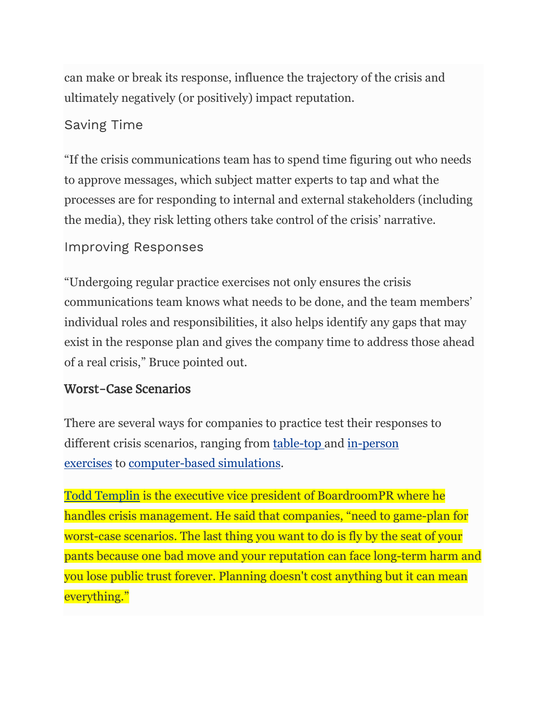can make or break its response, influence the trajectory of the crisis and ultimately negatively (or positively) impact reputation.

#### Saving Time

"If the crisis communications team has to spend time figuring out who needs to approve messages, which subject matter experts to tap and what the processes are for responding to internal and external stakeholders (including the media), they risk letting others take control of the crisis' narrative.

#### Improving Responses

"Undergoing regular practice exercises not only ensures the crisis communications team knows what needs to be done, and the team members' individual roles and responsibilities, it also helps identify any gaps that may exist in the response plan and gives the company time to address those ahead of a real crisis," Bruce pointed out.

#### Worst-Case Scenarios

There are several ways for companies to practice test their responses to different crisis scenarios, ranging from [table-top](https://preparedex.com/ultimate-guide-crisis-management-tabletop-exercises/) and [in-person](https://www.forbes.com/sites/edwardsegal/2021/10/18/what-the-pentagon-can-teach-business-leaders-about-crisis-communication/?sh=7f3d787b1aec)  [exercises](https://www.forbes.com/sites/edwardsegal/2021/10/18/what-the-pentagon-can-teach-business-leaders-about-crisis-communication/?sh=7f3d787b1aec) to [computer-based simulations.](https://www.forbes.com/sites/edwardsegal/2021/02/08/computer-simulations-are-helping--business-leaders-prepare-for-worst-case-crisis-scenarios/?sh=2abbdc9d731c)

[Todd Templin](https://www.linkedin.com/in/toddtemplin/) is the executive vice president of BoardroomPR where he handles crisis management. He said that companies, "need to game-plan for worst-case scenarios. The last thing you want to do is fly by the seat of your pants because one bad move and your reputation can face long-term harm and you lose public trust forever. Planning doesn't cost anything but it can mean everything."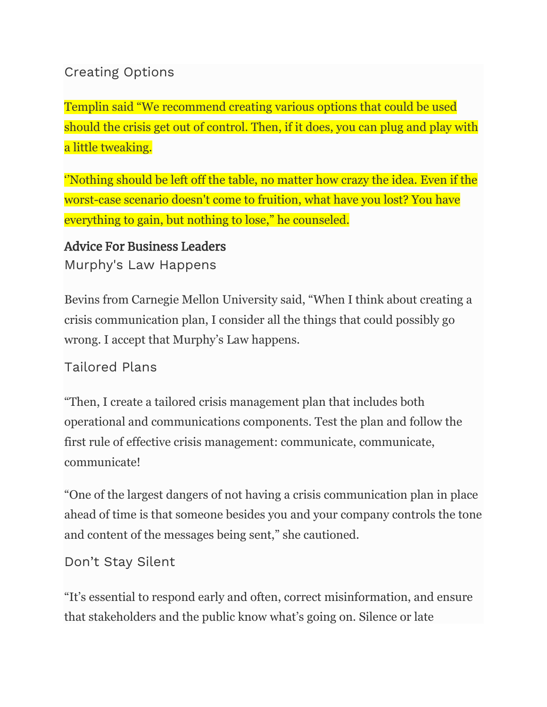#### Creating Options

Templin said "We recommend creating various options that could be used should the crisis get out of control. Then, if it does, you can plug and play with a little tweaking.

''Nothing should be left off the table, no matter how crazy the idea. Even if the worst-case scenario doesn't come to fruition, what have you lost? You have everything to gain, but nothing to lose," he counseled.

#### Advice For Business Leaders

Murphy's Law Happens

Bevins from Carnegie Mellon University said, "When I think about creating a crisis communication plan, I consider all the things that could possibly go wrong. I accept that Murphy's Law happens.

Tailored Plans

"Then, I create a tailored crisis management plan that includes both operational and communications components. Test the plan and follow the first rule of effective crisis management: communicate, communicate, communicate!

"One of the largest dangers of not having a crisis communication plan in place ahead of time is that someone besides you and your company controls the tone and content of the messages being sent," she cautioned.

Don't Stay Silent

"It's essential to respond early and often, correct misinformation, and ensure that stakeholders and the public know what's going on. Silence or late